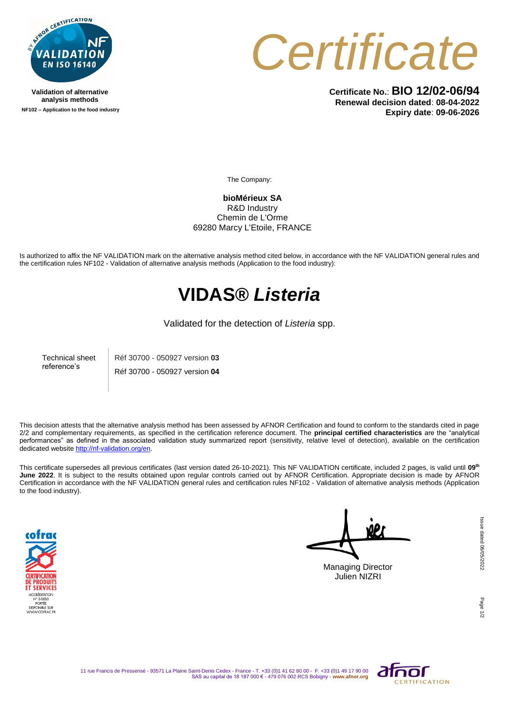

**Validation of alternative analysis methods NF102 – Application to the food industry**



**Certificate No.**: **BIO 12/02-06/94 Renewal decision dated**: **08-04-2022 Expiry date**: **09-06-2026**

The Company:

**bioMérieux SA** R&D Industry Chemin de L'Orme 69280 Marcy L'Etoile, FRANCE

Is authorized to affix the NF VALIDATION mark on the alternative analysis method cited below, in accordance with the NF VALIDATION general rules and the certification rules NF102 - Validation of alternative analysis methods (Application to the food industry):

## **VIDAS®** *Listeria*

## Validated for the detection of *Listeria* spp.

Technical sheet reference's Réf 30700 - 050927 version **03** Réf 30700 - 050927 version **04**

This decision attests that the alternative analysis method has been assessed by AFNOR Certification and found to conform to the standards cited in page 2/2 and complementary requirements, as specified in the certification reference document. The **principal certified characteristics** are the "analytical performances" as defined in the associated validation study summarized report (sensitivity, relative level of detection), available on the certification dedicated websit[e http://nf-validation.org/en.](http://nf-validation.org/en)

This certificate supersedes all previous certificates (last version dated 26-10-2021). This NF VALIDATION certificate, included 2 pages, is valid until **09th June 2022**. It is subject to the results obtained upon regular controls carried out by AFNOR Certification. Appropriate decision is made by AFNOR Certification in accordance with the NF VALIDATION general rules and certification rules NF102 - Validation of alternative analysis methods (Application to the food industry).



Managing Director Julien NIZRI

Page